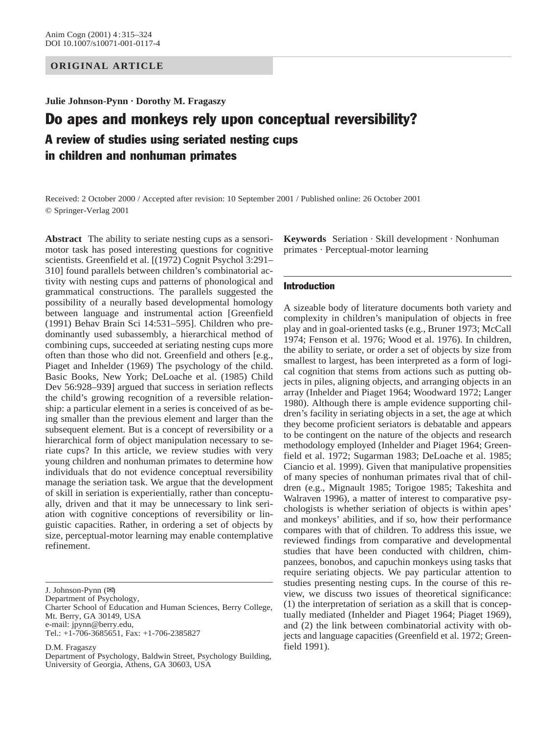## **ORIGINAL ARTICLE**

**Julie Johnson-Pynn · Dorothy M. Fragaszy**

# Do apes and monkeys rely upon conceptual reversibility? A review of studies using seriated nesting cups in children and nonhuman primates

Received: 2 October 2000 / Accepted after revision: 10 September 2001 / Published online: 26 October 2001 © Springer-Verlag 2001

**Abstract** The ability to seriate nesting cups as a sensorimotor task has posed interesting questions for cognitive scientists. Greenfield et al. [(1972) Cognit Psychol 3:291– 310] found parallels between children's combinatorial activity with nesting cups and patterns of phonological and grammatical constructions. The parallels suggested the possibility of a neurally based developmental homology between language and instrumental action [Greenfield (1991) Behav Brain Sci 14:531–595]. Children who predominantly used subassembly, a hierarchical method of combining cups, succeeded at seriating nesting cups more often than those who did not. Greenfield and others [e.g., Piaget and Inhelder (1969) The psychology of the child. Basic Books, New York; DeLoache et al. (1985) Child Dev 56:928–939] argued that success in seriation reflects the child's growing recognition of a reversible relationship: a particular element in a series is conceived of as being smaller than the previous element and larger than the subsequent element. But is a concept of reversibility or a hierarchical form of object manipulation necessary to seriate cups? In this article, we review studies with very young children and nonhuman primates to determine how individuals that do not evidence conceptual reversibility manage the seriation task. We argue that the development of skill in seriation is experientially, rather than conceptually, driven and that it may be unnecessary to link seriation with cognitive conceptions of reversibility or linguistic capacities. Rather, in ordering a set of objects by size, perceptual-motor learning may enable contemplative refinement.

Department of Psychology, Charter School of Education and Human Sciences, Berry College, Mt. Berry, GA 30149, USA e-mail: jpynn@berry.edu, Tel.: +1-706-3685651, Fax: +1-706-2385827

D.M. Fragaszy

Department of Psychology, Baldwin Street, Psychology Building, University of Georgia, Athens, GA 30603, USA

**Keywords** Seriation · Skill development · Nonhuman primates · Perceptual-motor learning

## Introduction

A sizeable body of literature documents both variety and complexity in children's manipulation of objects in free play and in goal-oriented tasks (e.g., Bruner 1973; McCall 1974; Fenson et al. 1976; Wood et al. 1976). In children, the ability to seriate, or order a set of objects by size from smallest to largest, has been interpreted as a form of logical cognition that stems from actions such as putting objects in piles, aligning objects, and arranging objects in an array (Inhelder and Piaget 1964; Woodward 1972; Langer 1980). Although there is ample evidence supporting children's facility in seriating objects in a set, the age at which they become proficient seriators is debatable and appears to be contingent on the nature of the objects and research methodology employed (Inhelder and Piaget 1964; Greenfield et al. 1972; Sugarman 1983; DeLoache et al. 1985; Ciancio et al. 1999). Given that manipulative propensities of many species of nonhuman primates rival that of children (e.g., Mignault 1985; Torigoe 1985; Takeshita and Walraven 1996), a matter of interest to comparative psychologists is whether seriation of objects is within apes' and monkeys' abilities, and if so, how their performance compares with that of children. To address this issue, we reviewed findings from comparative and developmental studies that have been conducted with children, chimpanzees, bonobos, and capuchin monkeys using tasks that require seriating objects. We pay particular attention to studies presenting nesting cups. In the course of this review, we discuss two issues of theoretical significance: (1) the interpretation of seriation as a skill that is conceptually mediated (Inhelder and Piaget 1964; Piaget 1969), and (2) the link between combinatorial activity with objects and language capacities (Greenfield et al. 1972; Greenfield 1991).

J. Johnson-Pynn (✉)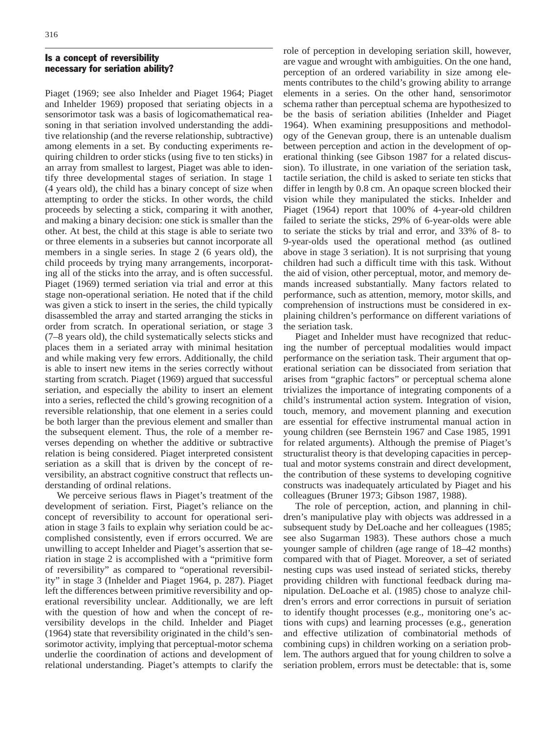# Is a concept of reversibility necessary for seriation ability?

Piaget (1969; see also Inhelder and Piaget 1964; Piaget and Inhelder 1969) proposed that seriating objects in a sensorimotor task was a basis of logicomathematical reasoning in that seriation involved understanding the additive relationship (and the reverse relationship, subtractive) among elements in a set. By conducting experiments requiring children to order sticks (using five to ten sticks) in an array from smallest to largest, Piaget was able to identify three developmental stages of seriation. In stage 1 (4 years old), the child has a binary concept of size when attempting to order the sticks. In other words, the child proceeds by selecting a stick, comparing it with another, and making a binary decision: one stick is smaller than the other. At best, the child at this stage is able to seriate two or three elements in a subseries but cannot incorporate all members in a single series. In stage 2 (6 years old), the child proceeds by trying many arrangements, incorporating all of the sticks into the array, and is often successful. Piaget (1969) termed seriation via trial and error at this stage non-operational seriation. He noted that if the child was given a stick to insert in the series, the child typically disassembled the array and started arranging the sticks in order from scratch. In operational seriation, or stage 3 (7–8 years old), the child systematically selects sticks and places them in a seriated array with minimal hesitation and while making very few errors. Additionally, the child is able to insert new items in the series correctly without starting from scratch. Piaget (1969) argued that successful seriation, and especially the ability to insert an element into a series, reflected the child's growing recognition of a reversible relationship, that one element in a series could be both larger than the previous element and smaller than the subsequent element. Thus, the role of a member reverses depending on whether the additive or subtractive relation is being considered. Piaget interpreted consistent seriation as a skill that is driven by the concept of reversibility, an abstract cognitive construct that reflects understanding of ordinal relations.

We perceive serious flaws in Piaget's treatment of the development of seriation. First, Piaget's reliance on the concept of reversibility to account for operational seriation in stage 3 fails to explain why seriation could be accomplished consistently, even if errors occurred. We are unwilling to accept Inhelder and Piaget's assertion that seriation in stage 2 is accomplished with a "primitive form of reversibility" as compared to "operational reversibility" in stage 3 (Inhelder and Piaget 1964, p. 287). Piaget left the differences between primitive reversibility and operational reversibility unclear. Additionally, we are left with the question of how and when the concept of reversibility develops in the child. Inhelder and Piaget (1964) state that reversibility originated in the child's sensorimotor activity, implying that perceptual-motor schema underlie the coordination of actions and development of relational understanding. Piaget's attempts to clarify the

role of perception in developing seriation skill, however, are vague and wrought with ambiguities. On the one hand, perception of an ordered variability in size among elements contributes to the child's growing ability to arrange elements in a series. On the other hand, sensorimotor schema rather than perceptual schema are hypothesized to be the basis of seriation abilities (Inhelder and Piaget 1964). When examining presuppositions and methodology of the Genevan group, there is an untenable dualism between perception and action in the development of operational thinking (see Gibson 1987 for a related discussion). To illustrate, in one variation of the seriation task, tactile seriation, the child is asked to seriate ten sticks that differ in length by 0.8 cm. An opaque screen blocked their vision while they manipulated the sticks. Inhelder and Piaget (1964) report that 100% of 4-year-old children failed to seriate the sticks, 29% of 6-year-olds were able to seriate the sticks by trial and error, and 33% of 8- to 9-year-olds used the operational method (as outlined above in stage 3 seriation). It is not surprising that young children had such a difficult time with this task. Without the aid of vision, other perceptual, motor, and memory demands increased substantially. Many factors related to performance, such as attention, memory, motor skills, and comprehension of instructions must be considered in explaining children's performance on different variations of the seriation task.

Piaget and Inhelder must have recognized that reducing the number of perceptual modalities would impact performance on the seriation task. Their argument that operational seriation can be dissociated from seriation that arises from "graphic factors" or perceptual schema alone trivializes the importance of integrating components of a child's instrumental action system. Integration of vision, touch, memory, and movement planning and execution are essential for effective instrumental manual action in young children (see Bernstein 1967 and Case 1985, 1991 for related arguments). Although the premise of Piaget's structuralist theory is that developing capacities in perceptual and motor systems constrain and direct development, the contribution of these systems to developing cognitive constructs was inadequately articulated by Piaget and his colleagues (Bruner 1973; Gibson 1987, 1988).

The role of perception, action, and planning in children's manipulative play with objects was addressed in a subsequent study by DeLoache and her colleagues (1985; see also Sugarman 1983). These authors chose a much younger sample of children (age range of 18–42 months) compared with that of Piaget. Moreover, a set of seriated nesting cups was used instead of seriated sticks, thereby providing children with functional feedback during manipulation. DeLoache et al. (1985) chose to analyze children's errors and error corrections in pursuit of seriation to identify thought processes (e.g., monitoring one's actions with cups) and learning processes (e.g., generation and effective utilization of combinatorial methods of combining cups) in children working on a seriation problem. The authors argued that for young children to solve a seriation problem, errors must be detectable: that is, some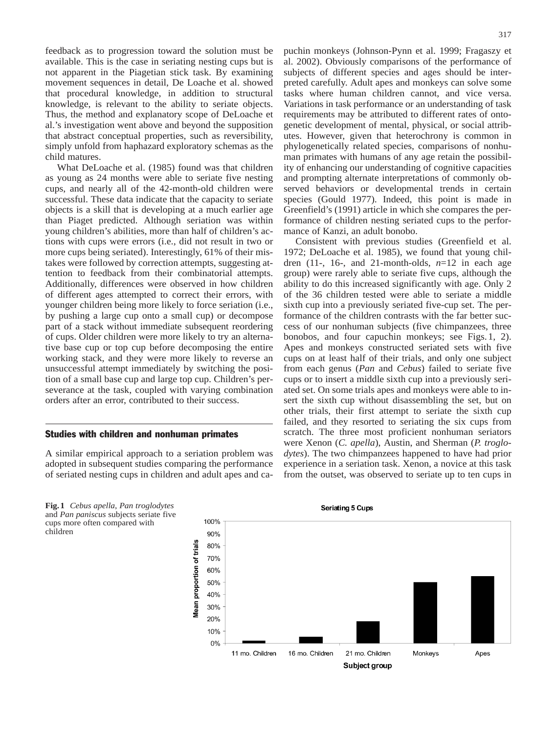feedback as to progression toward the solution must be available. This is the case in seriating nesting cups but is not apparent in the Piagetian stick task. By examining movement sequences in detail, De Loache et al. showed that procedural knowledge, in addition to structural knowledge, is relevant to the ability to seriate objects. Thus, the method and explanatory scope of DeLoache et al.'s investigation went above and beyond the supposition that abstract conceptual properties, such as reversibility, simply unfold from haphazard exploratory schemas as the child matures.

What DeLoache et al. (1985) found was that children as young as 24 months were able to seriate five nesting cups, and nearly all of the 42-month-old children were successful. These data indicate that the capacity to seriate objects is a skill that is developing at a much earlier age than Piaget predicted. Although seriation was within young children's abilities, more than half of children's actions with cups were errors (i.e., did not result in two or more cups being seriated). Interestingly, 61% of their mistakes were followed by correction attempts, suggesting attention to feedback from their combinatorial attempts. Additionally, differences were observed in how children of different ages attempted to correct their errors, with younger children being more likely to force seriation (i.e., by pushing a large cup onto a small cup) or decompose part of a stack without immediate subsequent reordering of cups. Older children were more likely to try an alternative base cup or top cup before decomposing the entire working stack, and they were more likely to reverse an unsuccessful attempt immediately by switching the position of a small base cup and large top cup. Children's perseverance at the task, coupled with varying combination orders after an error, contributed to their success.

## Studies with children and nonhuman primates

A similar empirical approach to a seriation problem was adopted in subsequent studies comparing the performance of seriated nesting cups in children and adult apes and capuchin monkeys (Johnson-Pynn et al. 1999; Fragaszy et al. 2002). Obviously comparisons of the performance of subjects of different species and ages should be interpreted carefully. Adult apes and monkeys can solve some tasks where human children cannot, and vice versa. Variations in task performance or an understanding of task requirements may be attributed to different rates of ontogenetic development of mental, physical, or social attributes. However, given that heterochrony is common in phylogenetically related species, comparisons of nonhuman primates with humans of any age retain the possibility of enhancing our understanding of cognitive capacities and prompting alternate interpretations of commonly observed behaviors or developmental trends in certain species (Gould 1977). Indeed, this point is made in Greenfield's (1991) article in which she compares the performance of children nesting seriated cups to the performance of Kanzi, an adult bonobo.

Consistent with previous studies (Greenfield et al. 1972; DeLoache et al. 1985), we found that young children (11-, 16-, and 21-month-olds, *n*=12 in each age group) were rarely able to seriate five cups, although the ability to do this increased significantly with age. Only 2 of the 36 children tested were able to seriate a middle sixth cup into a previously seriated five-cup set. The performance of the children contrasts with the far better success of our nonhuman subjects (five chimpanzees, three bonobos, and four capuchin monkeys; see Figs. 1, 2). Apes and monkeys constructed seriated sets with five cups on at least half of their trials, and only one subject from each genus (*Pan* and *Cebus*) failed to seriate five cups or to insert a middle sixth cup into a previously seriated set. On some trials apes and monkeys were able to insert the sixth cup without disassembling the set, but on other trials, their first attempt to seriate the sixth cup failed, and they resorted to seriating the six cups from scratch. The three most proficient nonhuman seriators were Xenon (*C. apella*), Austin, and Sherman (*P. troglodytes*). The two chimpanzees happened to have had prior experience in a seriation task. Xenon, a novice at this task from the outset, was observed to seriate up to ten cups in

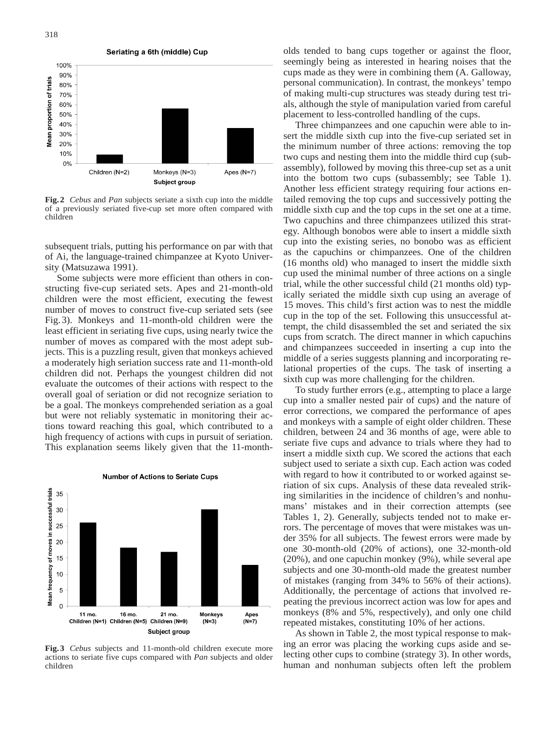Seriating a 6th (middle) Cup 100% 90% **Mean proportion of trials** 80% 70% 60% 50% 40% 30% 20% 10%  $0%$ Children (N=2) Apes (N=7) Monkeys (N=3)

of a previously seriated five-cup set more often compared with children

subsequent trials, putting his performance on par with that of Ai, the language-trained chimpanzee at Kyoto University (Matsuzawa 1991).

Some subjects were more efficient than others in constructing five-cup seriated sets. Apes and 21-month-old children were the most efficient, executing the fewest number of moves to construct five-cup seriated sets (see Fig. 3). Monkeys and 11-month-old children were the least efficient in seriating five cups, using nearly twice the number of moves as compared with the most adept subjects. This is a puzzling result, given that monkeys achieved a moderately high seriation success rate and 11-month-old children did not. Perhaps the youngest children did not evaluate the outcomes of their actions with respect to the overall goal of seriation or did not recognize seriation to be a goal. The monkeys comprehended seriation as a goal but were not reliably systematic in monitoring their actions toward reaching this goal, which contributed to a high frequency of actions with cups in pursuit of seriation. This explanation seems likely given that the 11-month-

Mean frequency of moves in successful trials 35  $3<sub>C</sub>$ 25  $20$ 15  $10$ 5  $\overline{0}$ 11 mo. 16 mo. 21 mo. Monkeys Apes Children (N=1) Children (N=5) Children (N=9)  $(N=3)$  $(N=7)$ Subject group

#### **Number of Actions to Seriate Cups**

**Fig. 3** *Cebus* subjects and 11-month-old children execute more actions to seriate five cups compared with *Pan* subjects and older children

olds tended to bang cups together or against the floor, seemingly being as interested in hearing noises that the cups made as they were in combining them (A. Galloway, personal communication). In contrast, the monkeys' tempo of making multi-cup structures was steady during test trials, although the style of manipulation varied from careful placement to less-controlled handling of the cups.

Three chimpanzees and one capuchin were able to insert the middle sixth cup into the five-cup seriated set in the minimum number of three actions: removing the top two cups and nesting them into the middle third cup (subassembly), followed by moving this three-cup set as a unit into the bottom two cups (subassembly; see Table 1). Another less efficient strategy requiring four actions entailed removing the top cups and successively potting the middle sixth cup and the top cups in the set one at a time. Two capuchins and three chimpanzees utilized this strategy. Although bonobos were able to insert a middle sixth cup into the existing series, no bonobo was as efficient as the capuchins or chimpanzees. One of the children (16 months old) who managed to insert the middle sixth cup used the minimal number of three actions on a single trial, while the other successful child (21 months old) typically seriated the middle sixth cup using an average of 15 moves. This child's first action was to nest the middle cup in the top of the set. Following this unsuccessful attempt, the child disassembled the set and seriated the six cups from scratch. The direct manner in which capuchins and chimpanzees succeeded in inserting a cup into the middle of a series suggests planning and incorporating relational properties of the cups. The task of inserting a sixth cup was more challenging for the children.

To study further errors (e.g., attempting to place a large cup into a smaller nested pair of cups) and the nature of error corrections, we compared the performance of apes and monkeys with a sample of eight older children. These children, between 24 and 36 months of age, were able to seriate five cups and advance to trials where they had to insert a middle sixth cup. We scored the actions that each subject used to seriate a sixth cup. Each action was coded with regard to how it contributed to or worked against seriation of six cups. Analysis of these data revealed striking similarities in the incidence of children's and nonhumans' mistakes and in their correction attempts (see Tables 1, 2). Generally, subjects tended not to make errors. The percentage of moves that were mistakes was under 35% for all subjects. The fewest errors were made by one 30-month-old (20% of actions), one 32-month-old (20%), and one capuchin monkey (9%), while several ape subjects and one 30-month-old made the greatest number of mistakes (ranging from 34% to 56% of their actions). Additionally, the percentage of actions that involved repeating the previous incorrect action was low for apes and monkeys (8% and 5%, respectively), and only one child repeated mistakes, constituting 10% of her actions.

As shown in Table 2, the most typical response to making an error was placing the working cups aside and selecting other cups to combine (strategy 3). In other words, human and nonhuman subjects often left the problem

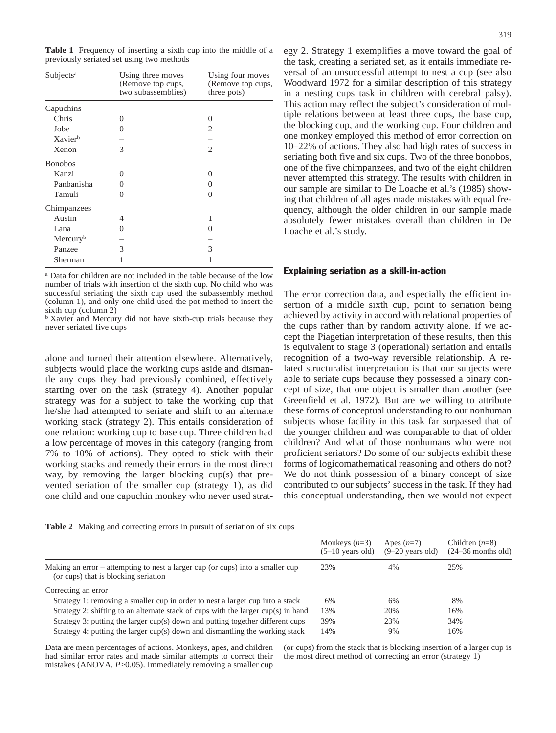**Table 1** Frequency of inserting a sixth cup into the middle of a previously seriated set using two methods

| Subjects <sup>a</sup> | Using three moves<br>(Remove top cups,<br>two subassemblies) | Using four moves<br>(Remove top cups,<br>three pots) |  |  |  |
|-----------------------|--------------------------------------------------------------|------------------------------------------------------|--|--|--|
| Capuchins             |                                                              |                                                      |  |  |  |
| Chris                 | $\Omega$                                                     | $\Omega$                                             |  |  |  |
| Jobe                  | $\Omega$                                                     | $\mathcal{D}_{\mathcal{L}}$                          |  |  |  |
| Xavier <sup>b</sup>   |                                                              |                                                      |  |  |  |
| Xenon                 | 3                                                            | $\mathfrak{D}$                                       |  |  |  |
| <b>Bonobos</b>        |                                                              |                                                      |  |  |  |
| Kanzi                 | 0                                                            | 0                                                    |  |  |  |
| Panbanisha            | $\Omega$                                                     | $\Omega$                                             |  |  |  |
| Tamuli                | 0                                                            | 0                                                    |  |  |  |
| Chimpanzees           |                                                              |                                                      |  |  |  |
| Austin                | 4                                                            | 1                                                    |  |  |  |
| Lana                  | $\Omega$                                                     | $\Omega$                                             |  |  |  |
| Mercury <sup>b</sup>  |                                                              |                                                      |  |  |  |
| Panzee                | 3                                                            | 3                                                    |  |  |  |
| Sherman               |                                                              |                                                      |  |  |  |

<sup>a</sup> Data for children are not included in the table because of the low number of trials with insertion of the sixth cup. No child who was successful seriating the sixth cup used the subassembly method (column 1), and only one child used the pot method to insert the sixth cup (column 2)

b Xavier and Mercury did not have sixth-cup trials because they never seriated five cups

alone and turned their attention elsewhere. Alternatively, subjects would place the working cups aside and dismantle any cups they had previously combined, effectively starting over on the task (strategy 4). Another popular strategy was for a subject to take the working cup that he/she had attempted to seriate and shift to an alternate working stack (strategy 2). This entails consideration of one relation: working cup to base cup. Three children had a low percentage of moves in this category (ranging from 7% to 10% of actions). They opted to stick with their working stacks and remedy their errors in the most direct way, by removing the larger blocking cup(s) that prevented seriation of the smaller cup (strategy 1), as did one child and one capuchin monkey who never used strategy 2. Strategy 1 exemplifies a move toward the goal of the task, creating a seriated set, as it entails immediate reversal of an unsuccessful attempt to nest a cup (see also Woodward 1972 for a similar description of this strategy in a nesting cups task in children with cerebral palsy). This action may reflect the subject's consideration of multiple relations between at least three cups, the base cup, the blocking cup, and the working cup. Four children and one monkey employed this method of error correction on 10–22% of actions. They also had high rates of success in seriating both five and six cups. Two of the three bonobos, one of the five chimpanzees, and two of the eight children never attempted this strategy. The results with children in our sample are similar to De Loache et al.'s (1985) showing that children of all ages made mistakes with equal frequency, although the older children in our sample made absolutely fewer mistakes overall than children in De Loache et al.'s study.

## Explaining seriation as a skill-in-action

The error correction data, and especially the efficient insertion of a middle sixth cup, point to seriation being achieved by activity in accord with relational properties of the cups rather than by random activity alone. If we accept the Piagetian interpretation of these results, then this is equivalent to stage 3 (operational) seriation and entails recognition of a two-way reversible relationship. A related structuralist interpretation is that our subjects were able to seriate cups because they possessed a binary concept of size, that one object is smaller than another (see Greenfield et al. 1972). But are we willing to attribute these forms of conceptual understanding to our nonhuman subjects whose facility in this task far surpassed that of the younger children and was comparable to that of older children? And what of those nonhumans who were not proficient seriators? Do some of our subjects exhibit these forms of logicomathematical reasoning and others do not? We do not think possession of a binary concept of size contributed to our subjects' success in the task. If they had this conceptual understanding, then we would not expect

| <b>Table 2</b> Making and correcting errors in pursuit of seriation of six cups |  |  |  |  |  |  |  |  |  |
|---------------------------------------------------------------------------------|--|--|--|--|--|--|--|--|--|
|---------------------------------------------------------------------------------|--|--|--|--|--|--|--|--|--|

|                                                                                                                        | Monkeys $(n=3)$<br>$(5-10 \text{ years old})$ | Apes $(n=7)$<br>$(9-20 \text{ years old})$ | Children $(n=8)$<br>$(24-36$ months old) |
|------------------------------------------------------------------------------------------------------------------------|-----------------------------------------------|--------------------------------------------|------------------------------------------|
| Making an error – attempting to nest a larger cup (or cups) into a smaller cup<br>(or cups) that is blocking seriation | 23%                                           | 4%                                         | 25%                                      |
| Correcting an error                                                                                                    |                                               |                                            |                                          |
| Strategy 1: removing a smaller cup in order to nest a larger cup into a stack                                          | 6%                                            | 6%                                         | 8%                                       |
| Strategy 2: shifting to an alternate stack of cups with the larger cup(s) in hand                                      | 13%                                           | 20%                                        | 16%                                      |
| Strategy 3: putting the larger cup(s) down and putting together different cups                                         | 39%                                           | 23%                                        | 34%                                      |
| Strategy 4: putting the larger cup(s) down and dismantling the working stack                                           | 14%                                           | 9%                                         | 16%                                      |

Data are mean percentages of actions. Monkeys, apes, and children had similar error rates and made similar attempts to correct their mistakes (ANOVA, *P*>0.05). Immediately removing a smaller cup (or cups) from the stack that is blocking insertion of a larger cup is the most direct method of correcting an error (strategy 1)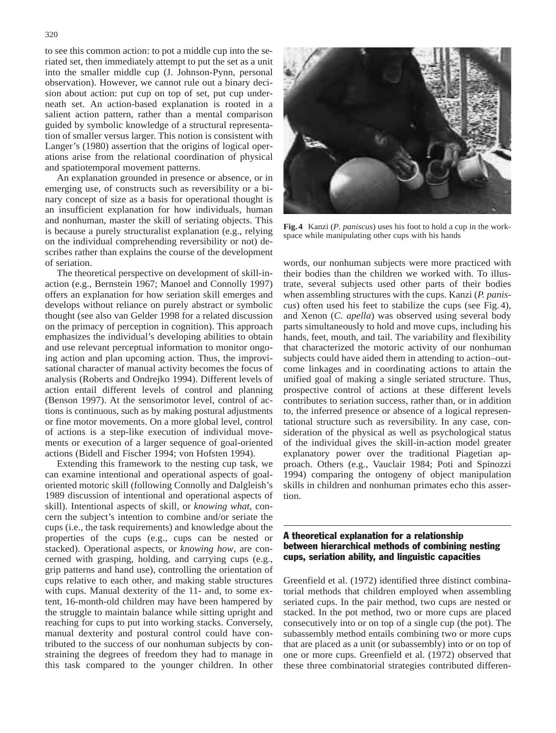to see this common action: to pot a middle cup into the seriated set, then immediately attempt to put the set as a unit into the smaller middle cup (J. Johnson-Pynn, personal observation). However, we cannot rule out a binary decision about action: put cup on top of set, put cup underneath set. An action-based explanation is rooted in a salient action pattern, rather than a mental comparison guided by symbolic knowledge of a structural representation of smaller versus larger. This notion is consistent with Langer's (1980) assertion that the origins of logical operations arise from the relational coordination of physical and spatiotemporal movement patterns.

An explanation grounded in presence or absence, or in emerging use, of constructs such as reversibility or a binary concept of size as a basis for operational thought is an insufficient explanation for how individuals, human and nonhuman, master the skill of seriating objects. This is because a purely structuralist explanation (e.g., relying on the individual comprehending reversibility or not) describes rather than explains the course of the development of seriation.

The theoretical perspective on development of skill-inaction (e.g., Bernstein 1967; Manoel and Connolly 1997) offers an explanation for how seriation skill emerges and develops without reliance on purely abstract or symbolic thought (see also van Gelder 1998 for a related discussion on the primacy of perception in cognition). This approach emphasizes the individual's developing abilities to obtain and use relevant perceptual information to monitor ongoing action and plan upcoming action. Thus, the improvisational character of manual activity becomes the focus of analysis (Roberts and Ondrejko 1994). Different levels of action entail different levels of control and planning (Benson 1997). At the sensorimotor level, control of actions is continuous, such as by making postural adjustments or fine motor movements. On a more global level, control of actions is a step-like execution of individual movements or execution of a larger sequence of goal-oriented actions (Bidell and Fischer 1994; von Hofsten 1994).

Extending this framework to the nesting cup task, we can examine intentional and operational aspects of goaloriented motoric skill (following Connolly and Dalgleish's 1989 discussion of intentional and operational aspects of skill). Intentional aspects of skill, or *knowing what*, concern the subject's intention to combine and/or seriate the cups (i.e., the task requirements) and knowledge about the properties of the cups (e.g., cups can be nested or stacked). Operational aspects, or *knowing how*, are concerned with grasping, holding, and carrying cups (e.g., grip patterns and hand use), controlling the orientation of cups relative to each other, and making stable structures with cups. Manual dexterity of the 11- and, to some extent, 16-month-old children may have been hampered by the struggle to maintain balance while sitting upright and reaching for cups to put into working stacks. Conversely, manual dexterity and postural control could have contributed to the success of our nonhuman subjects by constraining the degrees of freedom they had to manage in this task compared to the younger children. In other



**Fig. 4** Kanzi (*P. paniscus*) uses his foot to hold a cup in the workspace while manipulating other cups with his hands

words, our nonhuman subjects were more practiced with their bodies than the children we worked with. To illustrate, several subjects used other parts of their bodies when assembling structures with the cups. Kanzi (*P. paniscus*) often used his feet to stabilize the cups (see Fig. 4), and Xenon (*C. apella*) was observed using several body parts simultaneously to hold and move cups, including his hands, feet, mouth, and tail. The variability and flexibility that characterized the motoric activity of our nonhuman subjects could have aided them in attending to action–outcome linkages and in coordinating actions to attain the unified goal of making a single seriated structure. Thus, prospective control of actions at these different levels contributes to seriation success, rather than, or in addition to, the inferred presence or absence of a logical representational structure such as reversibility. In any case, consideration of the physical as well as psychological status of the individual gives the skill-in-action model greater explanatory power over the traditional Piagetian approach. Others (e.g., Vauclair 1984; Poti and Spinozzi 1994) comparing the ontogeny of object manipulation skills in children and nonhuman primates echo this assertion.

# A theoretical explanation for a relationship between hierarchical methods of combining nesting cups, seriation ability, and linguistic capacities

Greenfield et al. (1972) identified three distinct combinatorial methods that children employed when assembling seriated cups. In the pair method, two cups are nested or stacked. In the pot method, two or more cups are placed consecutively into or on top of a single cup (the pot). The subassembly method entails combining two or more cups that are placed as a unit (or subassembly) into or on top of one or more cups. Greenfield et al. (1972) observed that these three combinatorial strategies contributed differen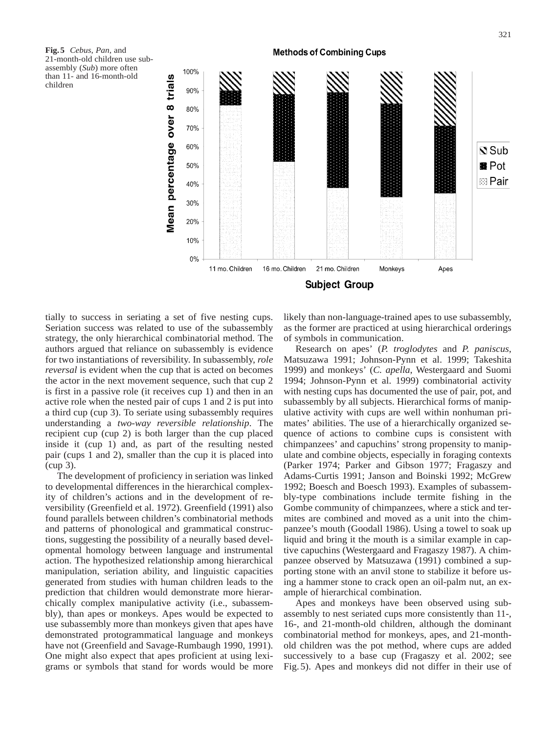**Fig. 5** *Cebus*, *Pan*, and 21-month-old children use subassembly (*Sub*) more often than 11- and 16-month-old children



tially to success in seriating a set of five nesting cups. Seriation success was related to use of the subassembly strategy, the only hierarchical combinatorial method. The authors argued that reliance on subassembly is evidence for two instantiations of reversibility. In subassembly, *role reversal* is evident when the cup that is acted on becomes the actor in the next movement sequence, such that cup 2 is first in a passive role (it receives cup 1) and then in an active role when the nested pair of cups 1 and 2 is put into a third cup (cup 3). To seriate using subassembly requires understanding a *two-way reversible relationship*. The recipient cup (cup 2) is both larger than the cup placed inside it (cup 1) and, as part of the resulting nested pair (cups 1 and 2), smaller than the cup it is placed into (cup 3).

The development of proficiency in seriation was linked to developmental differences in the hierarchical complexity of children's actions and in the development of reversibility (Greenfield et al. 1972). Greenfield (1991) also found parallels between children's combinatorial methods and patterns of phonological and grammatical constructions, suggesting the possibility of a neurally based developmental homology between language and instrumental action. The hypothesized relationship among hierarchical manipulation, seriation ability, and linguistic capacities generated from studies with human children leads to the prediction that children would demonstrate more hierarchically complex manipulative activity (i.e., subassembly), than apes or monkeys. Apes would be expected to use subassembly more than monkeys given that apes have demonstrated protogrammatical language and monkeys have not (Greenfield and Savage-Rumbaugh 1990, 1991). One might also expect that apes proficient at using lexigrams or symbols that stand for words would be more likely than non-language-trained apes to use subassembly, as the former are practiced at using hierarchical orderings of symbols in communication.

Research on apes' (*P. troglodytes* and *P. paniscus*, Matsuzawa 1991; Johnson-Pynn et al. 1999; Takeshita 1999) and monkeys' (*C. apella*, Westergaard and Suomi 1994; Johnson-Pynn et al. 1999) combinatorial activity with nesting cups has documented the use of pair, pot, and subassembly by all subjects. Hierarchical forms of manipulative activity with cups are well within nonhuman primates' abilities. The use of a hierarchically organized sequence of actions to combine cups is consistent with chimpanzees' and capuchins' strong propensity to manipulate and combine objects, especially in foraging contexts (Parker 1974; Parker and Gibson 1977; Fragaszy and Adams-Curtis 1991; Janson and Boinski 1992; McGrew 1992; Boesch and Boesch 1993). Examples of subassembly-type combinations include termite fishing in the Gombe community of chimpanzees, where a stick and termites are combined and moved as a unit into the chimpanzee's mouth (Goodall 1986). Using a towel to soak up liquid and bring it the mouth is a similar example in captive capuchins (Westergaard and Fragaszy 1987). A chimpanzee observed by Matsuzawa (1991) combined a supporting stone with an anvil stone to stabilize it before using a hammer stone to crack open an oil-palm nut, an example of hierarchical combination.

Apes and monkeys have been observed using subassembly to nest seriated cups more consistently than 11-, 16-, and 21-month-old children, although the dominant combinatorial method for monkeys, apes, and 21-monthold children was the pot method, where cups are added successively to a base cup (Fragaszy et al. 2002; see Fig. 5). Apes and monkeys did not differ in their use of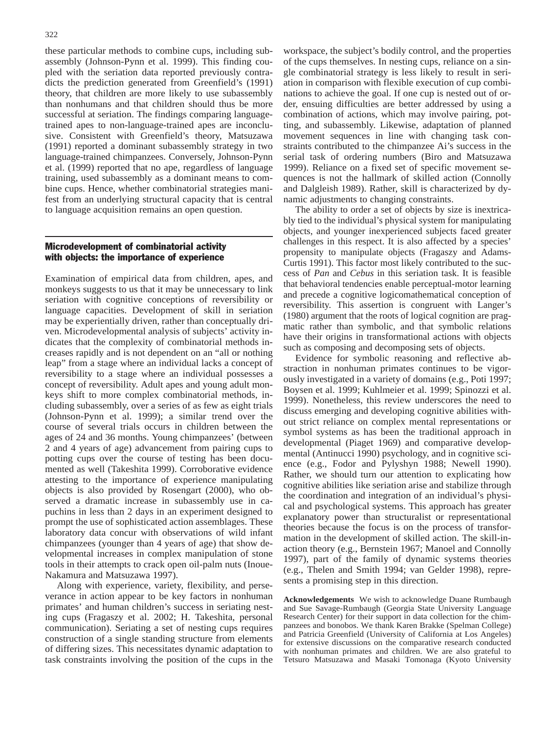these particular methods to combine cups, including subassembly (Johnson-Pynn et al. 1999). This finding coupled with the seriation data reported previously contradicts the prediction generated from Greenfield's (1991) theory, that children are more likely to use subassembly than nonhumans and that children should thus be more successful at seriation. The findings comparing languagetrained apes to non-language-trained apes are inconclusive. Consistent with Greenfield's theory, Matsuzawa (1991) reported a dominant subassembly strategy in two language-trained chimpanzees. Conversely, Johnson-Pynn et al. (1999) reported that no ape, regardless of language training, used subassembly as a dominant means to combine cups. Hence, whether combinatorial strategies manifest from an underlying structural capacity that is central to language acquisition remains an open question.

# Microdevelopment of combinatorial activity with objects: the importance of experience

Examination of empirical data from children, apes, and monkeys suggests to us that it may be unnecessary to link seriation with cognitive conceptions of reversibility or language capacities. Development of skill in seriation may be experientially driven, rather than conceptually driven. Microdevelopmental analysis of subjects' activity indicates that the complexity of combinatorial methods increases rapidly and is not dependent on an "all or nothing leap" from a stage where an individual lacks a concept of reversibility to a stage where an individual possesses a concept of reversibility. Adult apes and young adult monkeys shift to more complex combinatorial methods, including subassembly, over a series of as few as eight trials (Johnson-Pynn et al. 1999); a similar trend over the course of several trials occurs in children between the ages of 24 and 36 months. Young chimpanzees' (between 2 and 4 years of age) advancement from pairing cups to potting cups over the course of testing has been documented as well (Takeshita 1999). Corroborative evidence attesting to the importance of experience manipulating objects is also provided by Rosengart (2000), who observed a dramatic increase in subassembly use in capuchins in less than 2 days in an experiment designed to prompt the use of sophisticated action assemblages. These laboratory data concur with observations of wild infant chimpanzees (younger than 4 years of age) that show developmental increases in complex manipulation of stone tools in their attempts to crack open oil-palm nuts (Inoue-Nakamura and Matsuzawa 1997).

Along with experience, variety, flexibility, and perseverance in action appear to be key factors in nonhuman primates' and human children's success in seriating nesting cups (Fragaszy et al. 2002; H. Takeshita, personal communication). Seriating a set of nesting cups requires construction of a single standing structure from elements of differing sizes. This necessitates dynamic adaptation to task constraints involving the position of the cups in the

workspace, the subject's bodily control, and the properties of the cups themselves. In nesting cups, reliance on a single combinatorial strategy is less likely to result in seriation in comparison with flexible execution of cup combinations to achieve the goal. If one cup is nested out of order, ensuing difficulties are better addressed by using a combination of actions, which may involve pairing, potting, and subassembly. Likewise, adaptation of planned movement sequences in line with changing task constraints contributed to the chimpanzee Ai's success in the serial task of ordering numbers (Biro and Matsuzawa 1999). Reliance on a fixed set of specific movement sequences is not the hallmark of skilled action (Connolly and Dalgleish 1989). Rather, skill is characterized by dynamic adjustments to changing constraints.

The ability to order a set of objects by size is inextricably tied to the individual's physical system for manipulating objects, and younger inexperienced subjects faced greater challenges in this respect. It is also affected by a species' propensity to manipulate objects (Fragaszy and Adams-Curtis 1991). This factor most likely contributed to the success of *Pan* and *Cebus* in this seriation task. It is feasible that behavioral tendencies enable perceptual-motor learning and precede a cognitive logicomathematical conception of reversibility. This assertion is congruent with Langer's (1980) argument that the roots of logical cognition are pragmatic rather than symbolic, and that symbolic relations have their origins in transformational actions with objects such as composing and decomposing sets of objects.

Evidence for symbolic reasoning and reflective abstraction in nonhuman primates continues to be vigorously investigated in a variety of domains (e.g., Poti 1997; Boysen et al. 1999; Kuhlmeier et al. 1999; Spinozzi et al. 1999). Nonetheless, this review underscores the need to discuss emerging and developing cognitive abilities without strict reliance on complex mental representations or symbol systems as has been the traditional approach in developmental (Piaget 1969) and comparative developmental (Antinucci 1990) psychology, and in cognitive science (e.g., Fodor and Pylyshyn 1988; Newell 1990). Rather, we should turn our attention to explicating how cognitive abilities like seriation arise and stabilize through the coordination and integration of an individual's physical and psychological systems. This approach has greater explanatory power than structuralist or representational theories because the focus is on the process of transformation in the development of skilled action. The skill-inaction theory (e.g., Bernstein 1967; Manoel and Connolly 1997), part of the family of dynamic systems theories (e.g., Thelen and Smith 1994; van Gelder 1998), represents a promising step in this direction.

**Acknowledgements** We wish to acknowledge Duane Rumbaugh and Sue Savage-Rumbaugh (Georgia State University Language Research Center) for their support in data collection for the chimpanzees and bonobos. We thank Karen Brakke (Spelman College) and Patricia Greenfield (University of California at Los Angeles) for extensive discussions on the comparative research conducted with nonhuman primates and children. We are also grateful to Tetsuro Matsuzawa and Masaki Tomonaga (Kyoto University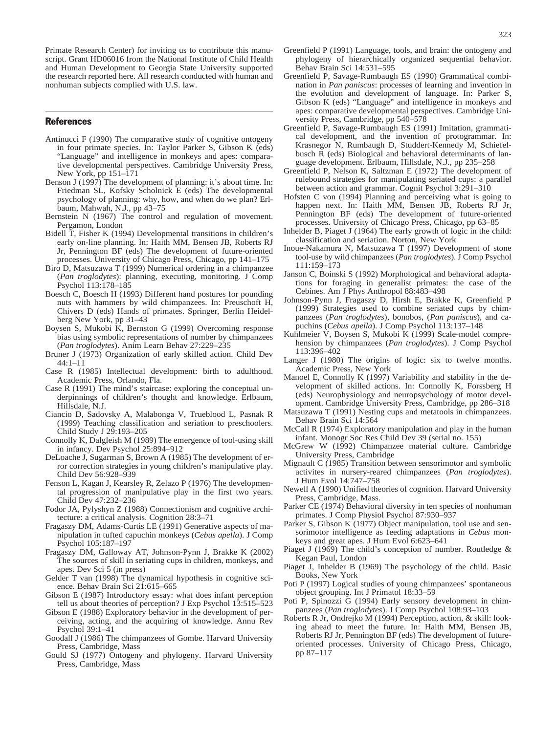Primate Research Center) for inviting us to contribute this manuscript. Grant HD06016 from the National Institute of Child Health and Human Development to Georgia State University supported the research reported here. All research conducted with human and nonhuman subjects complied with U.S. law.

### References

- Antinucci F (1990) The comparative study of cognitive ontogeny in four primate species. In: Taylor Parker S, Gibson K (eds) "Language" and intelligence in monkeys and apes: comparative developmental perspectives. Cambridge University Press, New York, pp 151–171
- Benson J (1997) The development of planning: it's about time. In: Friedman SL, Kofsky Scholnick E (eds) The developmental psychology of planning: why, how, and when do we plan? Erlbaum, Mahwah, N.J., pp 43–75
- Bernstein N (1967) The control and regulation of movement. Pergamon, London
- Bidell T, Fisher K (1994) Developmental transitions in children's early on-line planning. In: Haith MM, Bensen JB, Roberts RJ Jr, Pennington BF (eds) The development of future-oriented processes. University of Chicago Press, Chicago, pp 141–175
- Biro D, Matsuzawa T (1999) Numerical ordering in a chimpanzee (*Pan troglodytes*): planning, executing, monitoring. J Comp Psychol 113:178–185
- Boesch C, Boesch H (1993) Different hand postures for pounding nuts with hammers by wild chimpanzees. In: Preuschoft H, Chivers D (eds) Hands of primates. Springer, Berlin Heidelberg New York, pp 31–43
- Boysen S, Mukobi K, Bernston G (1999) Overcoming response bias using symbolic representations of number by chimpanzees (*Pan troglodytes*). Anim Learn Behav 27:229–235
- Bruner J (1973) Organization of early skilled action. Child Dev 44:1–11
- Case R (1985) Intellectual development: birth to adulthood. Academic Press, Orlando, Fla.
- Case R (1991) The mind's staircase: exploring the conceptual underpinnings of children's thought and knowledge. Erlbaum, Hillsdale, N.J.
- Ciancio D, Sadovsky A, Malabonga V, Trueblood L, Pasnak R (1999) Teaching classification and seriation to preschoolers. Child Study J 29:193–205
- Connolly K, Dalgleish M (1989) The emergence of tool-using skill in infancy. Dev Psychol 25:894–912
- DeLoache J, Sugarman S, Brown A (1985) The development of error correction strategies in young children's manipulative play. Child Dev 56:928–939
- Fenson L, Kagan J, Kearsley R, Zelazo P (1976) The developmental progression of manipulative play in the first two years. Child Dev 47:232–236
- Fodor JA, Pylyshyn Z (1988) Connectionism and cognitive architecture: a critical analysis. Cognition 28:3–71
- Fragaszy DM, Adams-Curtis LE (1991) Generative aspects of manipulation in tufted capuchin monkeys (*Cebus apella*). J Comp Psychol 105:187–197
- Fragaszy DM, Galloway AT, Johnson-Pynn J, Brakke K (2002) The sources of skill in seriating cups in children, monkeys, and apes. Dev Sci 5 (in press)
- Gelder T van (1998) The dynamical hypothesis in cognitive science. Behav Brain Sci 21:615–665
- Gibson E (1987) Introductory essay: what does infant perception tell us about theories of perception? J Exp Psychol 13:515–523
- Gibson E (1988) Exploratory behavior in the development of perceiving, acting, and the acquiring of knowledge. Annu Rev Psychol 39:1–41
- Goodall J (1986) The chimpanzees of Gombe. Harvard University Press, Cambridge, Mass
- Gould SJ (1977) Ontogeny and phylogeny. Harvard University Press, Cambridge, Mass
- Greenfield P (1991) Language, tools, and brain: the ontogeny and phylogeny of hierarchically organized sequential behavior. Behav Brain Sci 14:531–595
- Greenfield P, Savage-Rumbaugh ES (1990) Grammatical combination in *Pan paniscus*: processes of learning and invention in the evolution and development of language. In: Parker S, Gibson K (eds) "Language" and intelligence in monkeys and apes: comparative developmental perspectives. Cambridge University Press, Cambridge, pp 540–578
- Greenfield P, Savage-Rumbaugh ES (1991) Imitation, grammatical development, and the invention of protogrammar. In: Krasnegor N, Rumbaugh D, Studdert-Kennedy M, Schiefelbusch R (eds) Biological and behavioral determinants of language development. Erlbaum, Hillsdale, N.J., pp 235–258
- Greenfield P, Nelson K, Saltzman E (1972) The development of rulebound strategies for manipulating seriated cups: a parallel between action and grammar. Cognit Psychol 3:291–310
- Hofsten C von (1994) Planning and perceiving what is going to happen next. In: Haith MM, Bensen JB, Roberts RJ Jr, Pennington BF (eds) The development of future-oriented processes. University of Chicago Press, Chicago, pp 63–85
- Inhelder B, Piaget J (1964) The early growth of logic in the child: classification and seriation. Norton, New York
- Inoue-Nakamura N, Matsuzawa T (1997) Development of stone tool-use by wild chimpanzees (*Pan troglodytes*). J Comp Psychol 111:159–173
- Janson C, Boinski S (1992) Morphological and behavioral adaptations for foraging in generalist primates: the case of the Cebines. Am J Phys Anthropol 88:483–498
- Johnson-Pynn J, Fragaszy D, Hirsh E, Brakke K, Greenfield P (1999) Strategies used to combine seriated cups by chimpanzees (*Pan troglodytes*), bonobos, (*Pan paniscus*), and capuchins (*Cebus apella*). J Comp Psychol 113:137–148
- Kuhlmeier V, Boysen S, Mukobi K (1999) Scale-model comprehension by chimpanzees (*Pan troglodytes*). J Comp Psychol 113:396–402
- Langer J (1980) The origins of logic: six to twelve months. Academic Press, New York
- Manoel E, Connolly K (1997) Variability and stability in the development of skilled actions. In: Connolly K, Forssberg H (eds) Neurophysiology and neuropsychology of motor development. Cambridge University Press, Cambridge, pp 286–318
- Matsuzawa T (1991) Nesting cups and metatools in chimpanzees. Behav Brain Sci 14:564
- McCall R (1974) Exploratory manipulation and play in the human infant. Monogr Soc Res Child Dev 39 (serial no. 155)
- McGrew W (1992) Chimpanzee material culture. Cambridge University Press, Cambridge
- Mignault C (1985) Transition between sensorimotor and symbolic activites in nursery-reared chimpanzees (*Pan troglodytes*). J Hum Evol 14:747–758
- Newell A (1990) Unified theories of cognition. Harvard University Press, Cambridge, Mass.
- Parker CE (1974) Behavioral diversity in ten species of nonhuman primates. J Comp Physiol Psychol 87:930–937
- Parker S, Gibson K (1977) Object manipulation, tool use and sensorimotor intelligence as feeding adaptations in *Cebus* monkeys and great apes. J Hum Evol 6:623–641
- Piaget J (1969) The child's conception of number. Routledge & Kegan Paul, London
- Piaget J, Inhelder B (1969) The psychology of the child. Basic Books, New York
- Poti P (1997) Logical studies of young chimpanzees' spontaneous object grouping. Int J Primatol 18:33–59
- Poti P, Spinozzi G (1994) Early sensory development in chimpanzees (*Pan troglodytes*). J Comp Psychol 108:93–103
- Roberts R Jr, Ondrejko M (1994) Perception, action, & skill: looking ahead to meet the future. In: Haith MM, Bensen JB, Roberts RJ Jr, Pennington BF (eds) The development of futureoriented processes. University of Chicago Press, Chicago, pp 87–117